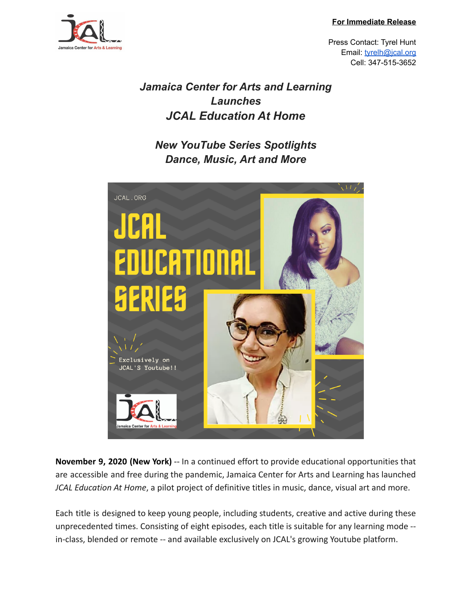**For Immediate Release**



Press Contact: Tyrel Hunt Email: [tyrelh@jcal.org](mailto:tyrelh@jcal.org) Cell: 347-515-3652

## *Jamaica Center for Arts and Learning Launches JCAL Education At Home*

*New YouTube Series Spotlights Dance, Music, Art and More*



**November 9, 2020 (New York)** -- In a continued effort to provide educational opportunities that are accessible and free during the pandemic, Jamaica Center for Arts and Learning has launched *JCAL Education At Home*, a pilot project of definitive titles in music, dance, visual art and more.

Each title is designed to keep young people, including students, creative and active during these unprecedented times. Consisting of eight episodes, each title is suitable for any learning mode - in-class, blended or remote -- and available exclusively on JCAL's growing Youtube platform.